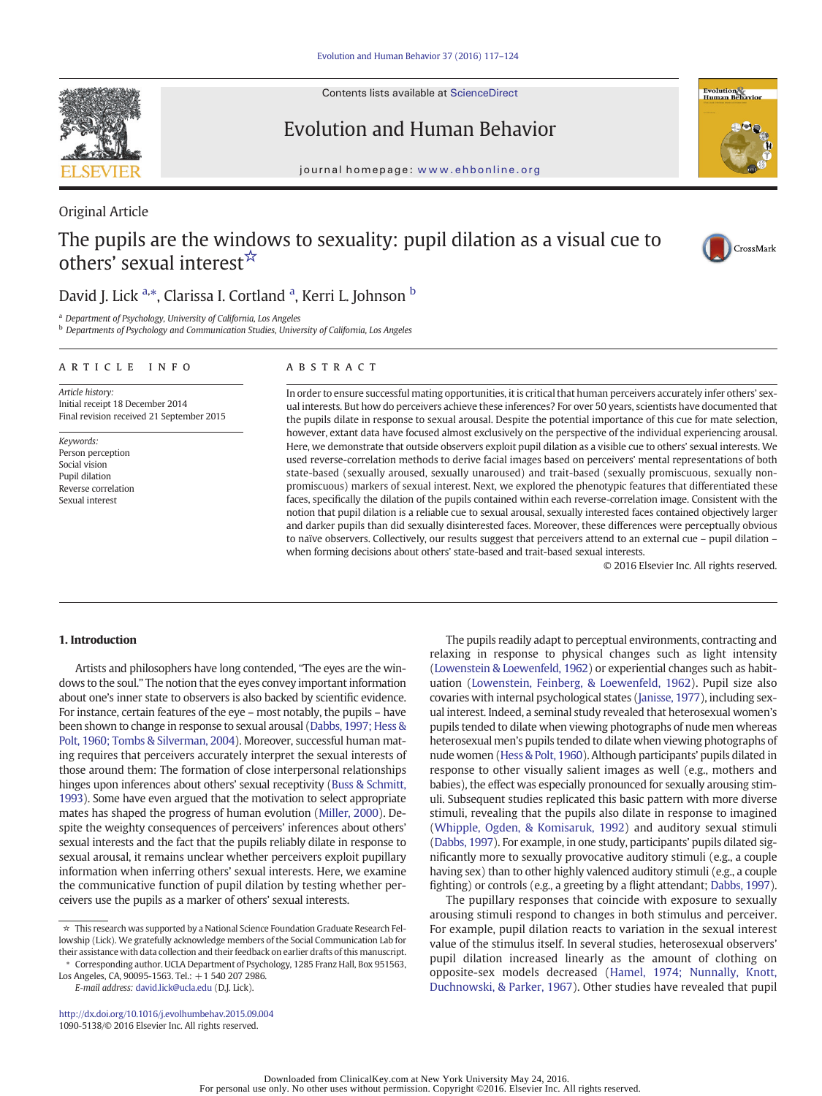

Original Article

Contents lists available at ScienceDirect

# Evolution and Human Behavior



journal homepage: www.ehbonline.org

# The pupils are the windows to sexuality: pupil dilation as a visual cue to others' sexual interest☆



## David J. Lick <sup>a,\*</sup>, Clarissa I. Cortland <sup>a</sup>, Kerri L. Johnson <sup>b</sup>

<sup>a</sup> Department of Psychology, University of California, Los Angeles

**b** Departments of Psychology and Communication Studies, University of California, Los Angeles

#### article info abstract

Article history: Initial receipt 18 December 2014 Final revision received 21 September 2015

Keywords: Person perception Social vision Pupil dilation Reverse correlation Sexual interest

In order to ensure successful mating opportunities, it is critical that human perceivers accurately infer others' sexual interests. But how do perceivers achieve these inferences? For over 50 years, scientists have documented that the pupils dilate in response to sexual arousal. Despite the potential importance of this cue for mate selection, however, extant data have focused almost exclusively on the perspective of the individual experiencing arousal. Here, we demonstrate that outside observers exploit pupil dilation as a visible cue to others' sexual interests. We used reverse-correlation methods to derive facial images based on perceivers' mental representations of both state-based (sexually aroused, sexually unaroused) and trait-based (sexually promiscuous, sexually nonpromiscuous) markers of sexual interest. Next, we explored the phenotypic features that differentiated these faces, specifically the dilation of the pupils contained within each reverse-correlation image. Consistent with the notion that pupil dilation is a reliable cue to sexual arousal, sexually interested faces contained objectively larger and darker pupils than did sexually disinterested faces. Moreover, these differences were perceptually obvious to naïve observers. Collectively, our results suggest that perceivers attend to an external cue – pupil dilation – when forming decisions about others' state-based and trait-based sexual interests.

© 2016 Elsevier Inc. All rights reserved.

#### 1. Introduction

Artists and philosophers have long contended, "The eyes are the windows to the soul." The notion that the eyes convey important information about one's inner state to observers is also backed by scientific evidence. For instance, certain features of the eye – most notably, the pupils – have been shown to change in response to sexual arousal [\(Dabbs, 1997; Hess &](#page-6-0) [Polt, 1960; Tombs & Silverman, 2004\)](#page-6-0). Moreover, successful human mating requires that perceivers accurately interpret the sexual interests of those around them: The formation of close interpersonal relationships hinges upon inferences about others' sexual receptivity ([Buss & Schmitt,](#page-6-0) [1993](#page-6-0)). Some have even argued that the motivation to select appropriate mates has shaped the progress of human evolution [\(Miller, 2000](#page-7-0)). Despite the weighty consequences of perceivers' inferences about others' sexual interests and the fact that the pupils reliably dilate in response to sexual arousal, it remains unclear whether perceivers exploit pupillary information when inferring others' sexual interests. Here, we examine the communicative function of pupil dilation by testing whether perceivers use the pupils as a marker of others' sexual interests.

Los Angeles, CA, 90095-1563. Tel.: +1 540 207 2986. E-mail address: [david.lick@ucla.edu](mailto:david.lick@ucla.edu) (D.J. Lick).

The pupils readily adapt to perceptual environments, contracting and relaxing in response to physical changes such as light intensity [\(Lowenstein & Loewenfeld, 1962\)](#page-7-0) or experiential changes such as habituation ([Lowenstein, Feinberg, & Loewenfeld, 1962](#page-7-0)). Pupil size also covaries with internal psychological states [\(Janisse, 1977\)](#page-6-0), including sexual interest. Indeed, a seminal study revealed that heterosexual women's pupils tended to dilate when viewing photographs of nude men whereas heterosexual men's pupils tended to dilate when viewing photographs of nude women ([Hess & Polt, 1960\)](#page-6-0). Although participants' pupils dilated in response to other visually salient images as well (e.g., mothers and babies), the effect was especially pronounced for sexually arousing stimuli. Subsequent studies replicated this basic pattern with more diverse stimuli, revealing that the pupils also dilate in response to imagined [\(Whipple, Ogden, & Komisaruk, 1992](#page-7-0)) and auditory sexual stimuli [\(Dabbs, 1997](#page-6-0)). For example, in one study, participants' pupils dilated significantly more to sexually provocative auditory stimuli (e.g., a couple having sex) than to other highly valenced auditory stimuli (e.g., a couple fighting) or controls (e.g., a greeting by a flight attendant; [Dabbs, 1997](#page-6-0)).

The pupillary responses that coincide with exposure to sexually arousing stimuli respond to changes in both stimulus and perceiver. For example, pupil dilation reacts to variation in the sexual interest value of the stimulus itself. In several studies, heterosexual observers' pupil dilation increased linearly as the amount of clothing on opposite-sex models decreased ([Hamel, 1974; Nunnally, Knott,](#page-6-0) [Duchnowski, & Parker, 1967\)](#page-6-0). Other studies have revealed that pupil

This research was supported by a National Science Foundation Graduate Research Fellowship (Lick). We gratefully acknowledge members of the Social Communication Lab for their assistance with data collection and their feedback on earlier drafts of this manuscript. ⁎ Corresponding author. UCLA Department of Psychology, 1285 Franz Hall, Box 951563,

<http://dx.doi.org/10.1016/j.evolhumbehav.2015.09.004> 1090-5138/© 2016 Elsevier Inc. All rights reserved.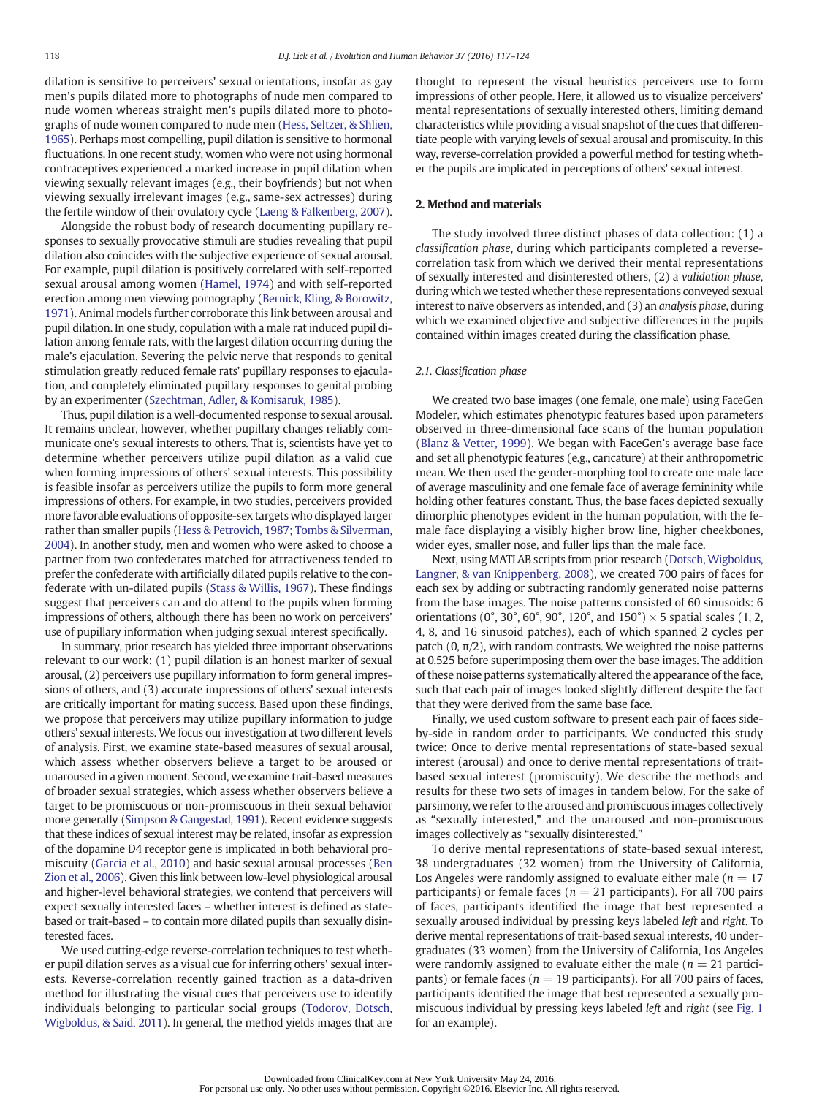dilation is sensitive to perceivers' sexual orientations, insofar as gay men's pupils dilated more to photographs of nude men compared to nude women whereas straight men's pupils dilated more to photographs of nude women compared to nude men [\(Hess, Seltzer, & Shlien,](#page-6-0) [1965](#page-6-0)). Perhaps most compelling, pupil dilation is sensitive to hormonal fluctuations. In one recent study, women who were not using hormonal contraceptives experienced a marked increase in pupil dilation when viewing sexually relevant images (e.g., their boyfriends) but not when viewing sexually irrelevant images (e.g., same-sex actresses) during the fertile window of their ovulatory cycle ([Laeng & Falkenberg, 2007](#page-6-0)).

Alongside the robust body of research documenting pupillary responses to sexually provocative stimuli are studies revealing that pupil dilation also coincides with the subjective experience of sexual arousal. For example, pupil dilation is positively correlated with self-reported sexual arousal among women [\(Hamel, 1974\)](#page-6-0) and with self-reported erection among men viewing pornography ([Bernick, Kling, & Borowitz,](#page-6-0) [1971](#page-6-0)). Animal models further corroborate this link between arousal and pupil dilation. In one study, copulation with a male rat induced pupil dilation among female rats, with the largest dilation occurring during the male's ejaculation. Severing the pelvic nerve that responds to genital stimulation greatly reduced female rats' pupillary responses to ejaculation, and completely eliminated pupillary responses to genital probing by an experimenter ([Szechtman, Adler, & Komisaruk, 1985](#page-7-0)).

Thus, pupil dilation is a well-documented response to sexual arousal. It remains unclear, however, whether pupillary changes reliably communicate one's sexual interests to others. That is, scientists have yet to determine whether perceivers utilize pupil dilation as a valid cue when forming impressions of others' sexual interests. This possibility is feasible insofar as perceivers utilize the pupils to form more general impressions of others. For example, in two studies, perceivers provided more favorable evaluations of opposite-sex targets who displayed larger rather than smaller pupils ([Hess & Petrovich, 1987; Tombs & Silverman,](#page-6-0) [2004](#page-6-0)). In another study, men and women who were asked to choose a partner from two confederates matched for attractiveness tended to prefer the confederate with artificially dilated pupils relative to the confederate with un-dilated pupils [\(Stass & Willis, 1967](#page-7-0)). These findings suggest that perceivers can and do attend to the pupils when forming impressions of others, although there has been no work on perceivers' use of pupillary information when judging sexual interest specifically.

In summary, prior research has yielded three important observations relevant to our work: (1) pupil dilation is an honest marker of sexual arousal, (2) perceivers use pupillary information to form general impressions of others, and (3) accurate impressions of others' sexual interests are critically important for mating success. Based upon these findings, we propose that perceivers may utilize pupillary information to judge others' sexual interests. We focus our investigation at two different levels of analysis. First, we examine state-based measures of sexual arousal, which assess whether observers believe a target to be aroused or unaroused in a given moment. Second, we examine trait-based measures of broader sexual strategies, which assess whether observers believe a target to be promiscuous or non-promiscuous in their sexual behavior more generally ([Simpson & Gangestad, 1991](#page-7-0)). Recent evidence suggests that these indices of sexual interest may be related, insofar as expression of the dopamine D4 receptor gene is implicated in both behavioral promiscuity [\(Garcia et al., 2010\)](#page-6-0) and basic sexual arousal processes ([Ben](#page-6-0) [Zion et al., 2006\)](#page-6-0). Given this link between low-level physiological arousal and higher-level behavioral strategies, we contend that perceivers will expect sexually interested faces – whether interest is defined as statebased or trait-based – to contain more dilated pupils than sexually disinterested faces.

We used cutting-edge reverse-correlation techniques to test whether pupil dilation serves as a visual cue for inferring others' sexual interests. Reverse-correlation recently gained traction as a data-driven method for illustrating the visual cues that perceivers use to identify individuals belonging to particular social groups [\(Todorov, Dotsch,](#page-7-0) [Wigboldus, & Said, 2011\)](#page-7-0). In general, the method yields images that are

thought to represent the visual heuristics perceivers use to form impressions of other people. Here, it allowed us to visualize perceivers' mental representations of sexually interested others, limiting demand characteristics while providing a visual snapshot of the cues that differentiate people with varying levels of sexual arousal and promiscuity. In this way, reverse-correlation provided a powerful method for testing whether the pupils are implicated in perceptions of others' sexual interest.

#### 2. Method and materials

The study involved three distinct phases of data collection: (1) a classification phase, during which participants completed a reversecorrelation task from which we derived their mental representations of sexually interested and disinterested others, (2) a validation phase, during which we tested whether these representations conveyed sexual interest to naïve observers as intended, and (3) an analysis phase, during which we examined objective and subjective differences in the pupils contained within images created during the classification phase.

#### 2.1. Classification phase

We created two base images (one female, one male) using FaceGen Modeler, which estimates phenotypic features based upon parameters observed in three-dimensional face scans of the human population ([Blanz & Vetter, 1999\)](#page-6-0). We began with FaceGen's average base face and set all phenotypic features (e.g., caricature) at their anthropometric mean. We then used the gender-morphing tool to create one male face of average masculinity and one female face of average femininity while holding other features constant. Thus, the base faces depicted sexually dimorphic phenotypes evident in the human population, with the female face displaying a visibly higher brow line, higher cheekbones, wider eyes, smaller nose, and fuller lips than the male face.

Next, using MATLAB scripts from prior research ([Dotsch, Wigboldus,](#page-6-0) [Langner, & van Knippenberg, 2008\)](#page-6-0), we created 700 pairs of faces for each sex by adding or subtracting randomly generated noise patterns from the base images. The noise patterns consisted of 60 sinusoids: 6 orientations ( $0^\circ$ ,  $30^\circ$ ,  $60^\circ$ ,  $90^\circ$ ,  $120^\circ$ , and  $150^\circ$ )  $\times$  5 spatial scales (1, 2, 4, 8, and 16 sinusoid patches), each of which spanned 2 cycles per patch (0, π/2), with random contrasts. We weighted the noise patterns at 0.525 before superimposing them over the base images. The addition of these noise patterns systematically altered the appearance of the face, such that each pair of images looked slightly different despite the fact that they were derived from the same base face.

Finally, we used custom software to present each pair of faces sideby-side in random order to participants. We conducted this study twice: Once to derive mental representations of state-based sexual interest (arousal) and once to derive mental representations of traitbased sexual interest (promiscuity). We describe the methods and results for these two sets of images in tandem below. For the sake of parsimony, we refer to the aroused and promiscuous images collectively as "sexually interested," and the unaroused and non-promiscuous images collectively as "sexually disinterested."

To derive mental representations of state-based sexual interest, 38 undergraduates (32 women) from the University of California, Los Angeles were randomly assigned to evaluate either male ( $n = 17$ ) participants) or female faces ( $n = 21$  participants). For all 700 pairs of faces, participants identified the image that best represented a sexually aroused individual by pressing keys labeled left and right. To derive mental representations of trait-based sexual interests, 40 undergraduates (33 women) from the University of California, Los Angeles were randomly assigned to evaluate either the male ( $n = 21$  participants) or female faces ( $n = 19$  participants). For all 700 pairs of faces, participants identified the image that best represented a sexually promiscuous individual by pressing keys labeled left and right (see [Fig. 1](#page-2-0) for an example).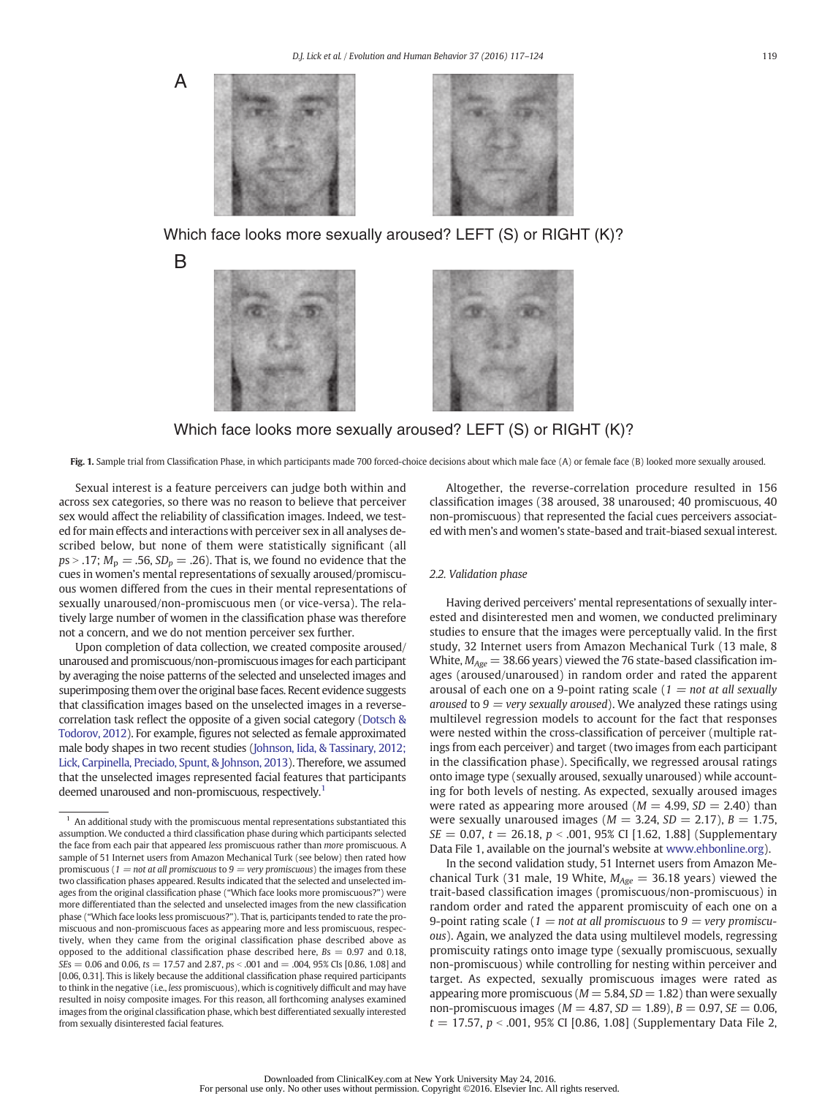<span id="page-2-0"></span>

Which face looks more sexually aroused? LEFT (S) or RIGHT (K)?



[Which face looks more sexually aroused? LEFT \(S\) or RIGHT \(K\)?](Image of Fig. 1)

Fig. 1. Sample trial from Classification Phase, in which participants made 700 forced-choice decisions about which male face (A) or female face (B) looked more sexually aroused.

Sexual interest is a feature perceivers can judge both within and across sex categories, so there was no reason to believe that perceiver sex would affect the reliability of classification images. Indeed, we tested for main effects and interactions with perceiver sex in all analyses described below, but none of them were statistically significant (all  $ps > .17$ ;  $M_p = .56$ ,  $SD_p = .26$ ). That is, we found no evidence that the cues in women's mental representations of sexually aroused/promiscuous women differed from the cues in their mental representations of sexually unaroused/non-promiscuous men (or vice-versa). The relatively large number of women in the classification phase was therefore not a concern, and we do not mention perceiver sex further.

Upon completion of data collection, we created composite aroused/ unaroused and promiscuous/non-promiscuous images for each participant by averaging the noise patterns of the selected and unselected images and superimposing them over the original base faces. Recent evidence suggests that classification images based on the unselected images in a reversecorrelation task reflect the opposite of a given social category [\(Dotsch &](#page-6-0) [Todorov, 2012\)](#page-6-0). For example, figures not selected as female approximated male body shapes in two recent studies [\(Johnson, Iida, & Tassinary, 2012;](#page-6-0) [Lick, Carpinella, Preciado, Spunt, & Johnson, 2013\)](#page-6-0). Therefore, we assumed that the unselected images represented facial features that participants deemed unaroused and non-promiscuous, respectively.<sup>1</sup>

Altogether, the reverse-correlation procedure resulted in 156 classification images (38 aroused, 38 unaroused; 40 promiscuous, 40 non-promiscuous) that represented the facial cues perceivers associated with men's and women's state-based and trait-biased sexual interest.

#### 2.2. Validation phase

Having derived perceivers' mental representations of sexually interested and disinterested men and women, we conducted preliminary studies to ensure that the images were perceptually valid. In the first study, 32 Internet users from Amazon Mechanical Turk (13 male, 8 White,  $M_{Age} = 38.66$  years) viewed the 76 state-based classification images (aroused/unaroused) in random order and rated the apparent arousal of each one on a 9-point rating scale  $(1 = \text{not at all sexually})$ aroused to  $9 = \text{very}$  sexually aroused). We analyzed these ratings using multilevel regression models to account for the fact that responses were nested within the cross-classification of perceiver (multiple ratings from each perceiver) and target (two images from each participant in the classification phase). Specifically, we regressed arousal ratings onto image type (sexually aroused, sexually unaroused) while accounting for both levels of nesting. As expected, sexually aroused images were rated as appearing more aroused ( $M = 4.99$ ,  $SD = 2.40$ ) than were sexually unaroused images ( $M = 3.24$ ,  $SD = 2.17$ ),  $B = 1.75$ ,  $SE = 0.07$ ,  $t = 26.18$ ,  $p < .001$ , 95% CI [1.62, 1.88] (Supplementary Data File 1, available on the journal's website at [www.ehbonline.org\)](http://www.ehbonline.org).

In the second validation study, 51 Internet users from Amazon Mechanical Turk (31 male, 19 White,  $M_{Age} = 36.18$  years) viewed the trait-based classification images (promiscuous/non-promiscuous) in random order and rated the apparent promiscuity of each one on a 9-point rating scale (1 = not at all promiscuous to 9 = very promiscuous). Again, we analyzed the data using multilevel models, regressing promiscuity ratings onto image type (sexually promiscuous, sexually non-promiscuous) while controlling for nesting within perceiver and target. As expected, sexually promiscuous images were rated as appearing more promiscuous ( $M = 5.84$ ,  $SD = 1.82$ ) than were sexually non-promiscuous images ( $M = 4.87$ ,  $SD = 1.89$ ),  $B = 0.97$ ,  $SE = 0.06$ ,  $t = 17.57$ ,  $p < .001$ , 95% CI [0.86, 1.08] (Supplementary Data File 2,

 $^{\rm 1}$  An additional study with the promiscuous mental representations substantiated this assumption. We conducted a third classification phase during which participants selected the face from each pair that appeared less promiscuous rather than more promiscuous. A sample of 51 Internet users from Amazon Mechanical Turk (see below) then rated how promiscuous ( $1 = not$  at all promiscuous to  $9 = very$  promiscuous) the images from these two classification phases appeared. Results indicated that the selected and unselected images from the original classification phase ("Which face looks more promiscuous?") were more differentiated than the selected and unselected images from the new classification phase ("Which face looks less promiscuous?"). That is, participants tended to rate the promiscuous and non-promiscuous faces as appearing more and less promiscuous, respectively, when they came from the original classification phase described above as opposed to the additional classification phase described here,  $Bs = 0.97$  and 0.18,  $SEs = 0.06$  and 0.06, ts = 17.57 and 2.87, ps < .001 and = .004, 95% CIs [0.86, 1.08] and [0.06, 0.31]. This is likely because the additional classification phase required participants to think in the negative (i.e., less promiscuous), which is cognitively difficult and may have resulted in noisy composite images. For this reason, all forthcoming analyses examined images from the original classification phase, which best differentiated sexually interested from sexually disinterested facial features.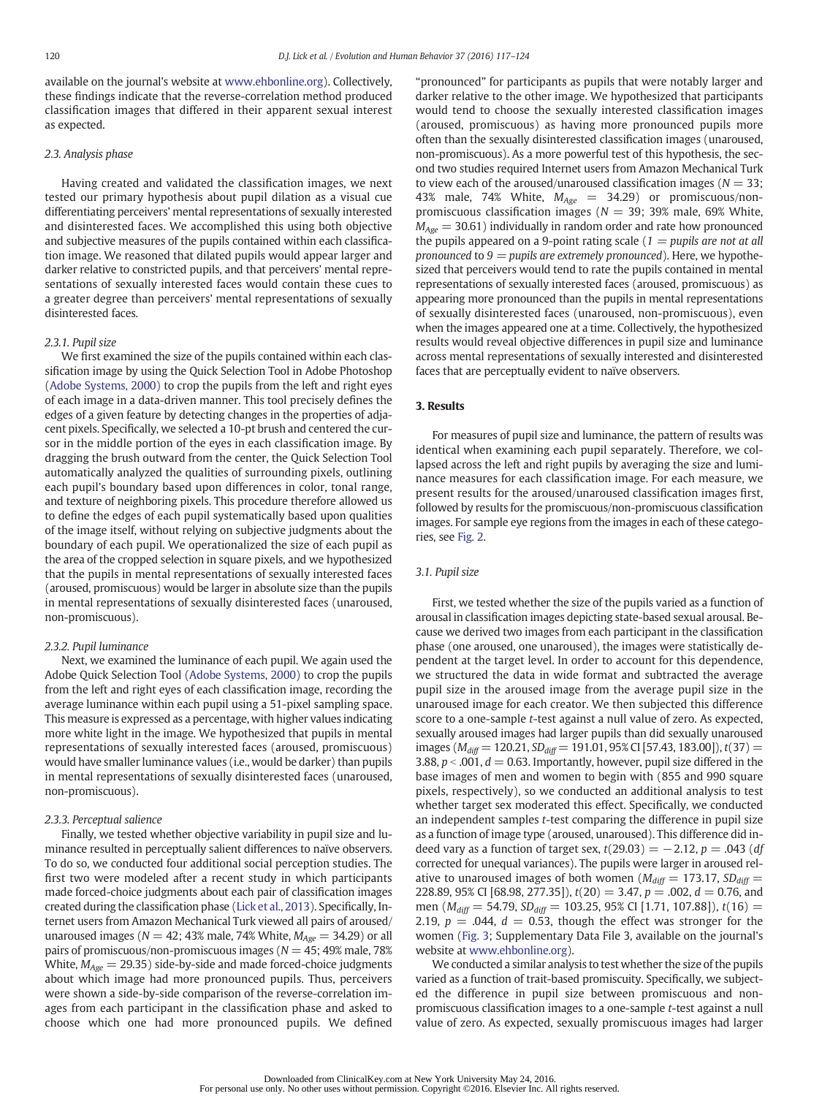available on the journal's website at [www.ehbonline.org](http://www.ehbonline.org)). Collectively, these findings indicate that the reverse-correlation method produced classification images that differed in their apparent sexual interest as expected.

#### 2.3. Analysis phase

Having created and validated the classification images, we next tested our primary hypothesis about pupil dilation as a visual cue differentiating perceivers' mental representations of sexually interested and disinterested faces. We accomplished this using both objective and subjective measures of the pupils contained within each classification image. We reasoned that dilated pupils would appear larger and darker relative to constricted pupils, and that perceivers' mental representations of sexually interested faces would contain these cues to a greater degree than perceivers' mental representations of sexually disinterested faces.

#### 2.3.1. Pupil size

We first examined the size of the pupils contained within each classification image by using the Quick Selection Tool in Adobe Photoshop ([Adobe Systems, 2000\)](#page-6-0) to crop the pupils from the left and right eyes of each image in a data-driven manner. This tool precisely defines the edges of a given feature by detecting changes in the properties of adjacent pixels. Specifically, we selected a 10-pt brush and centered the cursor in the middle portion of the eyes in each classification image. By dragging the brush outward from the center, the Quick Selection Tool automatically analyzed the qualities of surrounding pixels, outlining each pupil's boundary based upon differences in color, tonal range, and texture of neighboring pixels. This procedure therefore allowed us to define the edges of each pupil systematically based upon qualities of the image itself, without relying on subjective judgments about the boundary of each pupil. We operationalized the size of each pupil as the area of the cropped selection in square pixels, and we hypothesized that the pupils in mental representations of sexually interested faces (aroused, promiscuous) would be larger in absolute size than the pupils in mental representations of sexually disinterested faces (unaroused, non-promiscuous).

#### 2.3.2. Pupil luminance

Next, we examined the luminance of each pupil. We again used the Adobe Quick Selection Tool ([Adobe Systems, 2000\)](#page-6-0) to crop the pupils from the left and right eyes of each classification image, recording the average luminance within each pupil using a 51-pixel sampling space. This measure is expressed as a percentage, with higher values indicating more white light in the image. We hypothesized that pupils in mental representations of sexually interested faces (aroused, promiscuous) would have smaller luminance values (i.e., would be darker) than pupils in mental representations of sexually disinterested faces (unaroused, non-promiscuous).

#### 2.3.3. Perceptual salience

Finally, we tested whether objective variability in pupil size and luminance resulted in perceptually salient differences to naïve observers. To do so, we conducted four additional social perception studies. The first two were modeled after a recent study in which participants made forced-choice judgments about each pair of classification images created during the classification phase ([Lick et al., 2013\)](#page-7-0). Specifically, Internet users from Amazon Mechanical Turk viewed all pairs of aroused/ unaroused images ( $N = 42$ ; 43% male, 74% White,  $M_{Age} = 34.29$ ) or all pairs of promiscuous/non-promiscuous images ( $N = 45$ ; 49% male, 78% White,  $M_{Age} = 29.35$ ) side-by-side and made forced-choice judgments about which image had more pronounced pupils. Thus, perceivers were shown a side-by-side comparison of the reverse-correlation images from each participant in the classification phase and asked to choose which one had more pronounced pupils. We defined

"pronounced" for participants as pupils that were notably larger and darker relative to the other image. We hypothesized that participants would tend to choose the sexually interested classification images (aroused, promiscuous) as having more pronounced pupils more often than the sexually disinterested classification images (unaroused, non-promiscuous). As a more powerful test of this hypothesis, the second two studies required Internet users from Amazon Mechanical Turk to view each of the aroused/unaroused classification images ( $N = 33$ ; 43% male, 74% White,  $M_{Age}$  = 34.29) or promiscuous/nonpromiscuous classification images ( $N = 39$ ; 39% male, 69% White,  $M_{Age} = 30.61$ ) individually in random order and rate how pronounced the pupils appeared on a 9-point rating scale  $(1 =$  pupils are not at all pronounced to  $9 =$  pupils are extremely pronounced). Here, we hypothesized that perceivers would tend to rate the pupils contained in mental representations of sexually interested faces (aroused, promiscuous) as appearing more pronounced than the pupils in mental representations of sexually disinterested faces (unaroused, non-promiscuous), even when the images appeared one at a time. Collectively, the hypothesized results would reveal objective differences in pupil size and luminance across mental representations of sexually interested and disinterested faces that are perceptually evident to naïve observers.

#### 3. Results

For measures of pupil size and luminance, the pattern of results was identical when examining each pupil separately. Therefore, we collapsed across the left and right pupils by averaging the size and luminance measures for each classification image. For each measure, we present results for the aroused/unaroused classification images first, followed by results for the promiscuous/non-promiscuous classification images. For sample eye regions from the images in each of these categories, see [Fig. 2](#page-4-0).

#### 3.1. Pupil size

First, we tested whether the size of the pupils varied as a function of arousal in classification images depicting state-based sexual arousal. Because we derived two images from each participant in the classification phase (one aroused, one unaroused), the images were statistically dependent at the target level. In order to account for this dependence, we structured the data in wide format and subtracted the average pupil size in the aroused image from the average pupil size in the unaroused image for each creator. We then subjected this difference score to a one-sample t-test against a null value of zero. As expected, sexually aroused images had larger pupils than did sexually unaroused images ( $M_{diff} = 120.21$ ,  $SD_{diff} = 191.01$ , 95% CI [57.43, 183.00]),  $t(37) =$ 3.88,  $p < .001$ ,  $d = 0.63$ . Importantly, however, pupil size differed in the base images of men and women to begin with (855 and 990 square pixels, respectively), so we conducted an additional analysis to test whether target sex moderated this effect. Specifically, we conducted an independent samples t-test comparing the difference in pupil size as a function of image type (aroused, unaroused). This difference did indeed vary as a function of target sex,  $t(29.03) = -2.12$ ,  $p = .043$  (df corrected for unequal variances). The pupils were larger in aroused relative to unaroused images of both women ( $M_{diff} = 173.17$ ,  $SD_{diff} =$ 228.89, 95% CI [68.98, 277.35]),  $t(20) = 3.47$ ,  $p = .002$ ,  $d = 0.76$ , and men ( $M_{diff} = 54.79$ ,  $SD_{diff} = 103.25$ , 95% CI [1.71, 107.88]),  $t(16) =$ 2.19,  $p = .044$ ,  $d = 0.53$ , though the effect was stronger for the women ([Fig. 3](#page-4-0); Supplementary Data File 3, available on the journal's website at [www.ehbonline.org\)](http://www.ehbonline.org).

We conducted a similar analysis to test whether the size of the pupils varied as a function of trait-based promiscuity. Specifically, we subjected the difference in pupil size between promiscuous and nonpromiscuous classification images to a one-sample t-test against a null value of zero. As expected, sexually promiscuous images had larger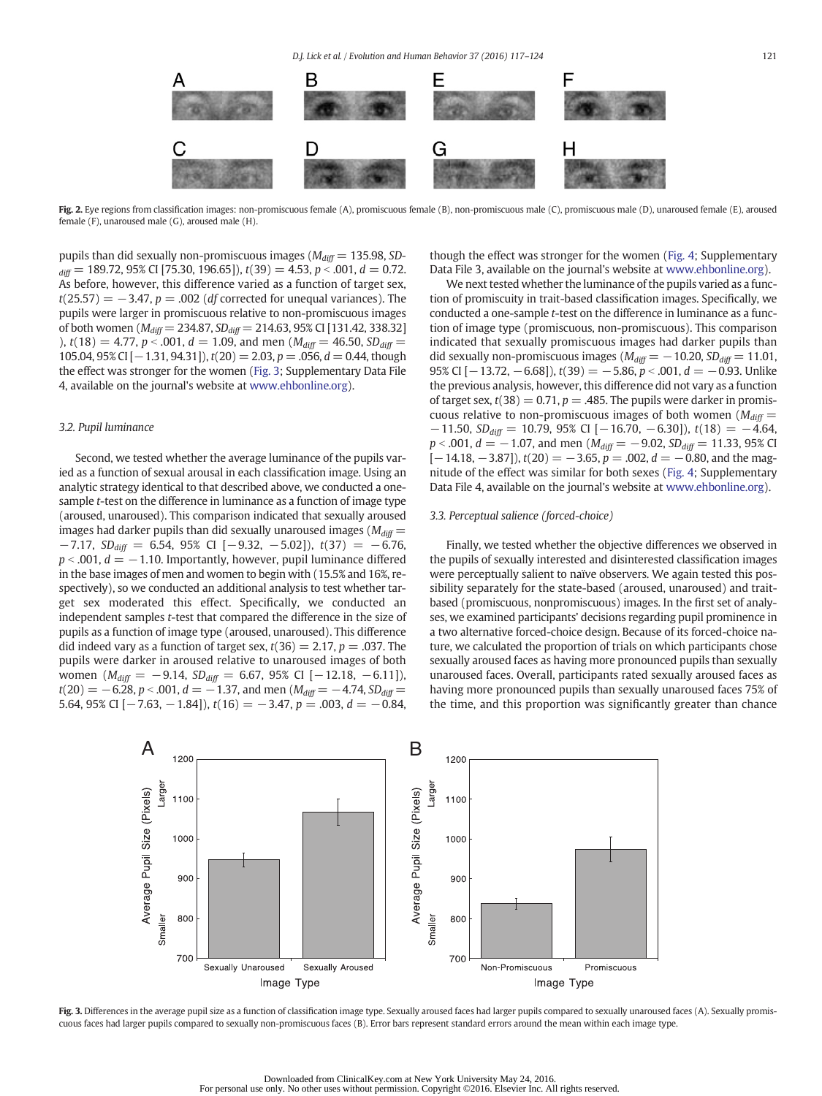D.I. Lick et al. / Evolution and Human Behavior 37 (2016) 117–124 121

<span id="page-4-0"></span>

Fig. 2. Eye regions from classification images: non-promiscuous female (A), promiscuous female (B), non-promiscuous male (C), promiscuous male (D), unaroused female (E), aroused female (F), unaroused male (G), aroused male (H).

pupils than did sexually non-promiscuous images ( $M_{diff} = 135.98$ , SD- $_{diff}$  = 189.72, 95% CI [75.30, 196.65]),  $t(39)$  = 4.53, p < .001, d = 0.72. As before, however, this difference varied as a function of target sex,  $t(25.57) = -3.47$ ,  $p = .002$  (df corrected for unequal variances). The pupils were larger in promiscuous relative to non-promiscuous images of both women ( $M_{diff} = 234.87$ ,  $SD_{diff} = 214.63$ , 95% CI [131.42, 338.32] ),  $t(18) = 4.77$ ,  $p < .001$ ,  $d = 1.09$ , and men ( $M_{diff} = 46.50$ ,  $SD_{diff} =$ 105.04, 95% CI [ $-1.31$ , 94.31]),  $t(20) = 2.03$ ,  $p = .056$ ,  $d = 0.44$ , though the effect was stronger for the women (Fig. 3; Supplementary Data File 4, available on the journal's website at [www.ehbonline.org](http://www.ehbonline.org)).

#### 3.2. Pupil luminance

Second, we tested whether the average luminance of the pupils varied as a function of sexual arousal in each classification image. Using an analytic strategy identical to that described above, we conducted a onesample t-test on the difference in luminance as a function of image type (aroused, unaroused). This comparison indicated that sexually aroused images had darker pupils than did sexually unaroused images ( $M_{diff}$  =  $-7.17$ ,  $SD_{diff} = 6.54$ , 95% CI  $[-9.32, -5.02]$ ),  $t(37) = -6.76$ ,  $p < .001$ ,  $d = -1.10$ . Importantly, however, pupil luminance differed in the base images of men and women to begin with (15.5% and 16%, respectively), so we conducted an additional analysis to test whether target sex moderated this effect. Specifically, we conducted an independent samples t-test that compared the difference in the size of pupils as a function of image type (aroused, unaroused). This difference did indeed vary as a function of target sex,  $t(36) = 2.17$ ,  $p = .037$ . The pupils were darker in aroused relative to unaroused images of both women ( $M_{diff} = -9.14$ ,  $SD_{diff} = 6.67$ , 95% CI [-12.18, -6.11]),  $t(20) = -6.28$ , p < .001,  $d = -1.37$ , and men ( $M_{diff} = -4.74$ , SD $_{diff} =$ 5.64, 95% CI [−7.63, −1.84]),  $t(16) = -3.47$ ,  $p = .003$ ,  $d = -0.84$ , though the effect was stronger for the women ([Fig. 4;](#page-5-0) Supplementary Data File 3, available on the journal's website at [www.ehbonline.org\)](http://www.ehbonline.org).

We next tested whether the luminance of the pupils varied as a function of promiscuity in trait-based classification images. Specifically, we conducted a one-sample t-test on the difference in luminance as a function of image type (promiscuous, non-promiscuous). This comparison indicated that sexually promiscuous images had darker pupils than did sexually non-promiscuous images ( $M_{diff} = -10.20$ ,  $SD_{diff} = 11.01$ , 95% CI  $[-13.72, -6.68]$ ,  $t(39) = -5.86$ ,  $p < .001$ ,  $d = -0.93$ . Unlike the previous analysis, however, this difference did not vary as a function of target sex,  $t(38) = 0.71$ ,  $p = .485$ . The pupils were darker in promiscuous relative to non-promiscuous images of both women ( $M_{diff}$  =  $-11.50$ ,  $SD_{diff} = 10.79$ , 95% CI  $[-16.70, -6.30]$ ),  $t(18) = -4.64$ ,  $p < .001$ ,  $d = -1.07$ , and men ( $M_{diff} = -9.02$ ,  $SD_{diff} = 11.33$ , 95% CI  $[-14.18, -3.87]$ ,  $t(20) = -3.65$ ,  $p = .002$ ,  $d = -0.80$ , and the magnitude of the effect was similar for both sexes [\(Fig. 4](#page-5-0); Supplementary Data File 4, available on the journal's website at [www.ehbonline.org\)](http://www.ehbonline.org).

### 3.3. Perceptual salience (forced-choice)

Finally, we tested whether the objective differences we observed in the pupils of sexually interested and disinterested classification images were perceptually salient to naïve observers. We again tested this possibility separately for the state-based (aroused, unaroused) and traitbased (promiscuous, nonpromiscuous) images. In the first set of analyses, we examined participants' decisions regarding pupil prominence in a two alternative forced-choice design. Because of its forced-choice nature, we calculated the proportion of trials on which participants chose sexually aroused faces as having more pronounced pupils than sexually unaroused faces. Overall, participants rated sexually aroused faces as having more pronounced pupils than sexually unaroused faces 75% of the time, and this proportion was significantly greater than chance



Fig. 3. Differences in the average pupil size as a function of classification image type. Sexually aroused faces had larger pupils compared to sexually unaroused faces (A). Sexually promiscuous faces had larger pupils compared to sexually non-promiscuous faces (B). Error bars represent standard errors around the mean within each image type.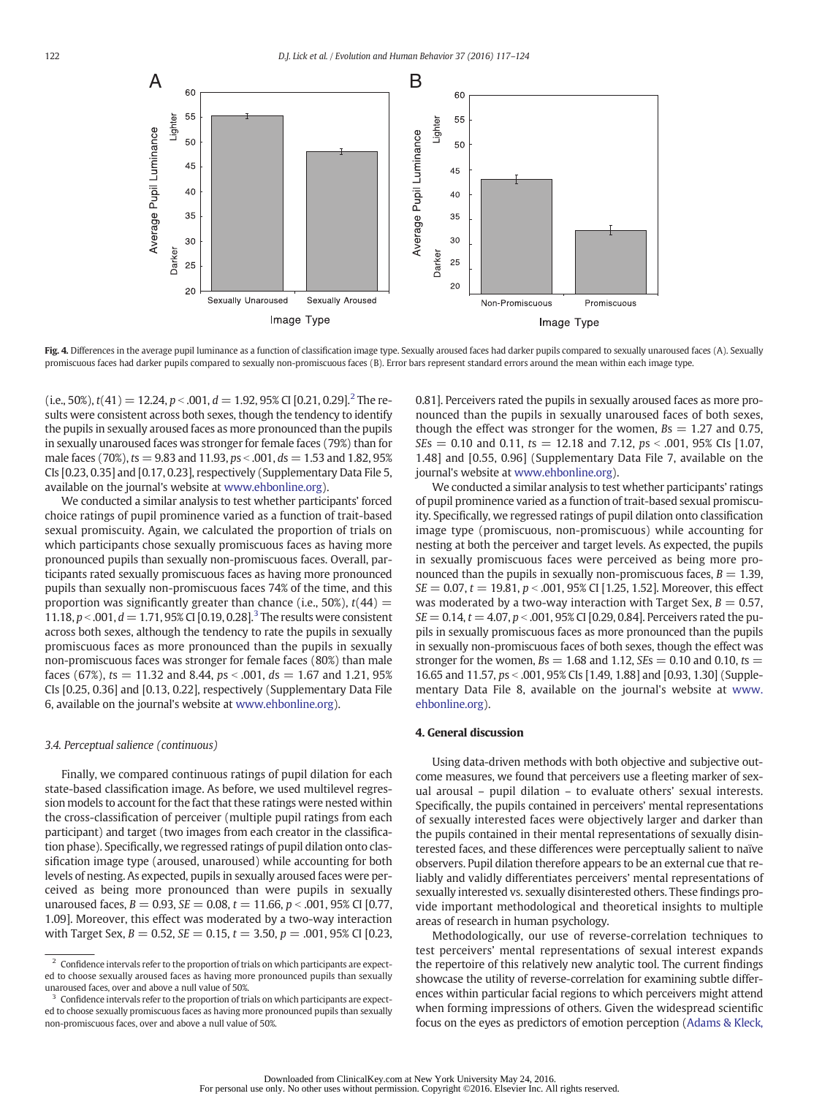<span id="page-5-0"></span>

Fig. 4. Differences in the average pupil luminance as a function of classification image type. Sexually aroused faces had darker pupils compared to sexually unaroused faces (A). Sexually promiscuous faces had darker pupils compared to sexually non-promiscuous faces (B). Error bars represent standard errors around the mean within each image type.

(i.e., 50%),  $t(41) = 12.24$ ,  $p < .001$ ,  $d = 1.92$ , 95% CI [0.21, 0.29].<sup>2</sup> The results were consistent across both sexes, though the tendency to identify the pupils in sexually aroused faces as more pronounced than the pupils in sexually unaroused faces was stronger for female faces (79%) than for male faces (70%),  $ts = 9.83$  and 11.93,  $ps < .001$ ,  $ds = 1.53$  and 1.82, 95% CIs [0.23, 0.35] and [0.17, 0.23], respectively (Supplementary Data File 5, available on the journal's website at [www.ehbonline.org\)](http://www.ehbonline.org).

We conducted a similar analysis to test whether participants' forced choice ratings of pupil prominence varied as a function of trait-based sexual promiscuity. Again, we calculated the proportion of trials on which participants chose sexually promiscuous faces as having more pronounced pupils than sexually non-promiscuous faces. Overall, participants rated sexually promiscuous faces as having more pronounced pupils than sexually non-promiscuous faces 74% of the time, and this proportion was significantly greater than chance (i.e., 50%),  $t(44)$  = 11.18,  $p < .001$ ,  $d = 1.71$ , 95% CI [0.19, 0.28].<sup>3</sup> The results were consistent across both sexes, although the tendency to rate the pupils in sexually promiscuous faces as more pronounced than the pupils in sexually non-promiscuous faces was stronger for female faces (80%) than male faces (67%), ts = 11.32 and 8.44,  $ps < .001$ ,  $ds = 1.67$  and 1.21, 95% CIs [0.25, 0.36] and [0.13, 0.22], respectively (Supplementary Data File 6, available on the journal's website at [www.ehbonline.org\)](http://www.ehbonline.org).

#### 3.4. Perceptual salience (continuous)

Finally, we compared continuous ratings of pupil dilation for each state-based classification image. As before, we used multilevel regression models to account for the fact that these ratings were nested within the cross-classification of perceiver (multiple pupil ratings from each participant) and target (two images from each creator in the classification phase). Specifically, we regressed ratings of pupil dilation onto classification image type (aroused, unaroused) while accounting for both levels of nesting. As expected, pupils in sexually aroused faces were perceived as being more pronounced than were pupils in sexually unaroused faces,  $B = 0.93$ ,  $SE = 0.08$ ,  $t = 11.66$ ,  $p < .001$ , 95% CI [0.77, 1.09]. Moreover, this effect was moderated by a two-way interaction with Target Sex,  $B = 0.52$ ,  $SE = 0.15$ ,  $t = 3.50$ ,  $p = .001$ , 95% CI [0.23,

0.81]. Perceivers rated the pupils in sexually aroused faces as more pronounced than the pupils in sexually unaroused faces of both sexes, though the effect was stronger for the women,  $Bs = 1.27$  and 0.75,  $SEs = 0.10$  and 0.11,  $ts = 12.18$  and 7.12,  $ps < .001$ , 95% CIs [1.07, 1.48] and [0.55, 0.96] (Supplementary Data File 7, available on the journal's website at [www.ehbonline.org](http://www.ehbonline.org)).

We conducted a similar analysis to test whether participants' ratings of pupil prominence varied as a function of trait-based sexual promiscuity. Specifically, we regressed ratings of pupil dilation onto classification image type (promiscuous, non-promiscuous) while accounting for nesting at both the perceiver and target levels. As expected, the pupils in sexually promiscuous faces were perceived as being more pronounced than the pupils in sexually non-promiscuous faces,  $B = 1.39$ ,  $SE = 0.07$ ,  $t = 19.81$ ,  $p < .001$ , 95% CI [1.25, 1.52]. Moreover, this effect was moderated by a two-way interaction with Target Sex,  $B = 0.57$ ,  $SE = 0.14$ ,  $t = 4.07$ ,  $p < .001$ , 95% CI [0.29, 0.84]. Perceivers rated the pupils in sexually promiscuous faces as more pronounced than the pupils in sexually non-promiscuous faces of both sexes, though the effect was stronger for the women,  $Bs = 1.68$  and 1.12,  $SEs = 0.10$  and 0.10,  $ts =$ 16.65 and 11.57, ps < .001, 95% CIs [1.49, 1.88] and [0.93, 1.30] (Supplementary Data File 8, available on the journal's website at [www.](http://www.ehbonline.org) [ehbonline.org](http://www.ehbonline.org)).

#### 4. General discussion

Using data-driven methods with both objective and subjective outcome measures, we found that perceivers use a fleeting marker of sexual arousal – pupil dilation – to evaluate others' sexual interests. Specifically, the pupils contained in perceivers' mental representations of sexually interested faces were objectively larger and darker than the pupils contained in their mental representations of sexually disinterested faces, and these differences were perceptually salient to naïve observers. Pupil dilation therefore appears to be an external cue that reliably and validly differentiates perceivers' mental representations of sexually interested vs. sexually disinterested others. These findings provide important methodological and theoretical insights to multiple areas of research in human psychology.

Methodologically, our use of reverse-correlation techniques to test perceivers' mental representations of sexual interest expands the repertoire of this relatively new analytic tool. The current findings showcase the utility of reverse-correlation for examining subtle differences within particular facial regions to which perceivers might attend when forming impressions of others. Given the widespread scientific focus on the eyes as predictors of emotion perception [\(Adams & Kleck,](#page-6-0)

 $^{\rm 2}$  Confidence intervals refer to the proportion of trials on which participants are expected to choose sexually aroused faces as having more pronounced pupils than sexually unaroused faces, over and above a null value of 50%.

<sup>&</sup>lt;sup>3</sup> Confidence intervals refer to the proportion of trials on which participants are expected to choose sexually promiscuous faces as having more pronounced pupils than sexually non-promiscuous faces, over and above a null value of 50%.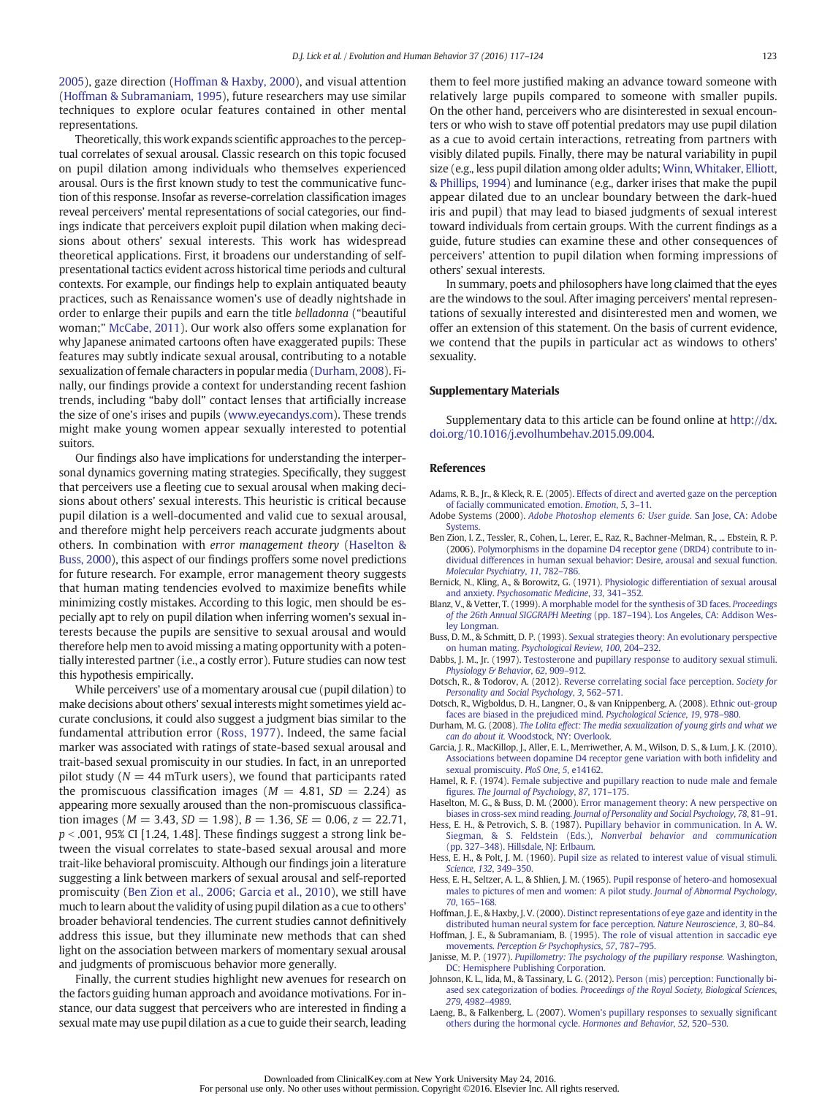<span id="page-6-0"></span>2005), gaze direction (Hoffman & Haxby, 2000), and visual attention (Hoffman & Subramaniam, 1995), future researchers may use similar techniques to explore ocular features contained in other mental representations.

Theoretically, this work expands scientific approaches to the perceptual correlates of sexual arousal. Classic research on this topic focused on pupil dilation among individuals who themselves experienced arousal. Ours is the first known study to test the communicative function of this response. Insofar as reverse-correlation classification images reveal perceivers' mental representations of social categories, our findings indicate that perceivers exploit pupil dilation when making decisions about others' sexual interests. This work has widespread theoretical applications. First, it broadens our understanding of selfpresentational tactics evident across historical time periods and cultural contexts. For example, our findings help to explain antiquated beauty practices, such as Renaissance women's use of deadly nightshade in order to enlarge their pupils and earn the title belladonna ("beautiful woman;" [McCabe, 2011](#page-7-0)). Our work also offers some explanation for why Japanese animated cartoons often have exaggerated pupils: These features may subtly indicate sexual arousal, contributing to a notable sexualization of female characters in popular media (Durham, 2008). Finally, our findings provide a context for understanding recent fashion trends, including "baby doll" contact lenses that artificially increase the size of one's irises and pupils [\(www.eyecandys.com\)](http://www.eyecandys.com). These trends might make young women appear sexually interested to potential suitors.

Our findings also have implications for understanding the interpersonal dynamics governing mating strategies. Specifically, they suggest that perceivers use a fleeting cue to sexual arousal when making decisions about others' sexual interests. This heuristic is critical because pupil dilation is a well-documented and valid cue to sexual arousal, and therefore might help perceivers reach accurate judgments about others. In combination with error management theory (Haselton & Buss, 2000), this aspect of our findings proffers some novel predictions for future research. For example, error management theory suggests that human mating tendencies evolved to maximize benefits while minimizing costly mistakes. According to this logic, men should be especially apt to rely on pupil dilation when inferring women's sexual interests because the pupils are sensitive to sexual arousal and would therefore help men to avoid missing a mating opportunity with a potentially interested partner (i.e., a costly error). Future studies can now test this hypothesis empirically.

While perceivers' use of a momentary arousal cue (pupil dilation) to make decisions about others' sexual interests might sometimes yield accurate conclusions, it could also suggest a judgment bias similar to the fundamental attribution error ([Ross, 1977](#page-7-0)). Indeed, the same facial marker was associated with ratings of state-based sexual arousal and trait-based sexual promiscuity in our studies. In fact, in an unreported pilot study ( $N = 44$  mTurk users), we found that participants rated the promiscuous classification images ( $M = 4.81$ ,  $SD = 2.24$ ) as appearing more sexually aroused than the non-promiscuous classification images ( $M = 3.43$ ,  $SD = 1.98$ ),  $B = 1.36$ ,  $SE = 0.06$ ,  $z = 22.71$ ,  $p < .001$ , 95% CI [1.24, 1.48]. These findings suggest a strong link between the visual correlates to state-based sexual arousal and more trait-like behavioral promiscuity. Although our findings join a literature suggesting a link between markers of sexual arousal and self-reported promiscuity (Ben Zion et al., 2006; Garcia et al., 2010), we still have much to learn about the validity of using pupil dilation as a cue to others' broader behavioral tendencies. The current studies cannot definitively address this issue, but they illuminate new methods that can shed light on the association between markers of momentary sexual arousal and judgments of promiscuous behavior more generally.

Finally, the current studies highlight new avenues for research on the factors guiding human approach and avoidance motivations. For instance, our data suggest that perceivers who are interested in finding a sexual mate may use pupil dilation as a cue to guide their search, leading

them to feel more justified making an advance toward someone with relatively large pupils compared to someone with smaller pupils. On the other hand, perceivers who are disinterested in sexual encounters or who wish to stave off potential predators may use pupil dilation as a cue to avoid certain interactions, retreating from partners with visibly dilated pupils. Finally, there may be natural variability in pupil size (e.g., less pupil dilation among older adults; [Winn, Whitaker, Elliott,](#page-7-0) [& Phillips, 1994\)](#page-7-0) and luminance (e.g., darker irises that make the pupil appear dilated due to an unclear boundary between the dark-hued iris and pupil) that may lead to biased judgments of sexual interest toward individuals from certain groups. With the current findings as a guide, future studies can examine these and other consequences of perceivers' attention to pupil dilation when forming impressions of others' sexual interests.

In summary, poets and philosophers have long claimed that the eyes are the windows to the soul. After imaging perceivers' mental representations of sexually interested and disinterested men and women, we offer an extension of this statement. On the basis of current evidence, we contend that the pupils in particular act as windows to others' sexuality.

#### Supplementary Materials

Supplementary data to this article can be found online at [http://dx.](http://dx.doi.org/10.1016/j.evolhumbehav.2015.09.004) [doi.org/10.1016/j.evolhumbehav.2015.09.004](http://dx.doi.org/10.1016/j.evolhumbehav.2015.09.004).

#### **References**

- Adams, R. B., Jr., & Kleck, R. E. (2005). [Effects of direct and averted gaze on the perception](http://refhub.elsevier.com/S1090-5138(15)00083-5/rf0005) [of facially communicated emotion.](http://refhub.elsevier.com/S1090-5138(15)00083-5/rf0005) Emotion, 5, 3–11.
- Adobe Systems (2000). [Adobe Photoshop elements 6: User guide.](http://refhub.elsevier.com/S1090-5138(15)00083-5/rf0010) San Jose, CA: Adobe [Systems.](http://refhub.elsevier.com/S1090-5138(15)00083-5/rf0010)
- Ben Zion, I. Z., Tessler, R., Cohen, L., Lerer, E., Raz, R., Bachner-Melman, R., ... Ebstein, R. P. (2006). [Polymorphisms in the dopamine D4 receptor gene \(DRD4\) contribute to in](http://refhub.elsevier.com/S1090-5138(15)00083-5/rf0015)[dividual differences in human sexual behavior: Desire, arousal and sexual function.](http://refhub.elsevier.com/S1090-5138(15)00083-5/rf0015) [Molecular Psychiatry](http://refhub.elsevier.com/S1090-5138(15)00083-5/rf0015), 11, 782–786.
- Bernick, N., Kling, A., & Borowitz, G. (1971). [Physiologic differentiation of sexual arousal](http://refhub.elsevier.com/S1090-5138(15)00083-5/rf0020) and anxiety. [Psychosomatic Medicine](http://refhub.elsevier.com/S1090-5138(15)00083-5/rf0020), 33, 341–352.
- Blanz, V., & Vetter, T. (1999). [A morphable model for the synthesis of 3D faces.](http://refhub.elsevier.com/S1090-5138(15)00083-5/rf0025) Proceedings [of the 26th Annual SIGGRAPH Meeting](http://refhub.elsevier.com/S1090-5138(15)00083-5/rf0025) (pp. 187–194). Los Angeles, CA: Addison Wes[ley Longman.](http://refhub.elsevier.com/S1090-5138(15)00083-5/rf0025)
- Buss, D. M., & Schmitt, D. P. (1993). [Sexual strategies theory: An evolutionary perspective](http://refhub.elsevier.com/S1090-5138(15)00083-5/rf0030) on human mating. [Psychological Review](http://refhub.elsevier.com/S1090-5138(15)00083-5/rf0030), 100, 204–232.
- Dabbs, J. M., Jr. (1997). [Testosterone and pupillary response to auditory sexual stimuli.](http://refhub.elsevier.com/S1090-5138(15)00083-5/rf0035) [Physiology & Behavior](http://refhub.elsevier.com/S1090-5138(15)00083-5/rf0035), 62, 909–912.
- Dotsch, R., & Todorov, A. (2012). [Reverse correlating social face perception.](http://refhub.elsevier.com/S1090-5138(15)00083-5/rf0040) Society for [Personality and Social Psychology](http://refhub.elsevier.com/S1090-5138(15)00083-5/rf0040), 3, 562–571.
- Dotsch, R., Wigboldus, D. H., Langner, O., & van Knippenberg, A. (2008). [Ethnic out-group](http://refhub.elsevier.com/S1090-5138(15)00083-5/rf0045) [faces are biased in the prejudiced mind.](http://refhub.elsevier.com/S1090-5138(15)00083-5/rf0045) Psychological Science, 19, 978–980.
- Durham, M. G. (2008). [The Lolita effect: The media sexualization of young girls and what we](http://refhub.elsevier.com/S1090-5138(15)00083-5/rf0050) can do about it. [Woodstock, NY: Overlook.](http://refhub.elsevier.com/S1090-5138(15)00083-5/rf0050)
- Garcia, J. R., MacKillop, J., Aller, E. L., Merriwether, A. M., Wilson, D. S., & Lum, J. K. (2010). [Associations between dopamine D4 receptor gene variation with both in](http://refhub.elsevier.com/S1090-5138(15)00083-5/rf0055)fidelity and [sexual promiscuity.](http://refhub.elsevier.com/S1090-5138(15)00083-5/rf0055) PloS One, 5, e14162.
- Hamel, R. F. (1974). [Female subjective and pupillary reaction to nude male and female](http://refhub.elsevier.com/S1090-5138(15)00083-5/rf0060) figures. [The Journal of Psychology](http://refhub.elsevier.com/S1090-5138(15)00083-5/rf0060), 87, 171–175.
- Haselton, M. G., & Buss, D. M. (2000). [Error management theory: A new perspective on](http://refhub.elsevier.com/S1090-5138(15)00083-5/rf0065) biases in cross-sex mind reading. [Journal of Personality and Social Psychology](http://refhub.elsevier.com/S1090-5138(15)00083-5/rf0065), 78, 81–91.
- Hess, E. H., & Petrovich, S. B. (1987). [Pupillary behavior in communication. In A. W.](http://refhub.elsevier.com/S1090-5138(15)00083-5/rf0070) Siegman, & S. Feldstein (Eds.), [Nonverbal behavior and communication](http://refhub.elsevier.com/S1090-5138(15)00083-5/rf0070) (pp. 327–[348\). Hillsdale, NJ: Erlbaum.](http://refhub.elsevier.com/S1090-5138(15)00083-5/rf0070)
- Hess, E. H., & Polt, J. M. (1960). [Pupil size as related to interest value of visual stimuli.](http://refhub.elsevier.com/S1090-5138(15)00083-5/rf0175) [Science](http://refhub.elsevier.com/S1090-5138(15)00083-5/rf0175), 132, 349–350.
- Hess, E. H., Seltzer, A. L., & Shlien, J. M. (1965). [Pupil response of hetero-and homosexual](http://refhub.elsevier.com/S1090-5138(15)00083-5/rf0075) [males to pictures of men and women: A pilot study.](http://refhub.elsevier.com/S1090-5138(15)00083-5/rf0075) Journal of Abnormal Psychology, 70[, 165](http://refhub.elsevier.com/S1090-5138(15)00083-5/rf0075)–168.
- Hoffman, J. E., & Haxby, J. V. (2000). [Distinct representations of eye gaze and identity in the](http://refhub.elsevier.com/S1090-5138(15)00083-5/rf0080) [distributed human neural system for face perception.](http://refhub.elsevier.com/S1090-5138(15)00083-5/rf0080) Nature Neuroscience, 3, 80–84.
- Hoffman, J. E., & Subramaniam, B. (1995). [The role of visual attention in saccadic eye](http://refhub.elsevier.com/S1090-5138(15)00083-5/rf0085) movements. [Perception & Psychophysics](http://refhub.elsevier.com/S1090-5138(15)00083-5/rf0085), 57, 787–795.
- Janisse, M. P. (1977). [Pupillometry: The psychology of the pupillary response.](http://refhub.elsevier.com/S1090-5138(15)00083-5/rf0090) Washington, [DC: Hemisphere Publishing Corporation.](http://refhub.elsevier.com/S1090-5138(15)00083-5/rf0090)
- Johnson, K. L., Iida, M., & Tassinary, L. G. (2012). [Person \(mis\) perception: Functionally bi](http://refhub.elsevier.com/S1090-5138(15)00083-5/rf0095)ased sex categorization of bodies. [Proceedings of the Royal Society, Biological Sciences](http://refhub.elsevier.com/S1090-5138(15)00083-5/rf0095), 279[, 4982](http://refhub.elsevier.com/S1090-5138(15)00083-5/rf0095)–4989.
- Laeng, B., & Falkenberg, L. (2007). [Women's pupillary responses to sexually signi](http://refhub.elsevier.com/S1090-5138(15)00083-5/rf0100)ficant [others during the hormonal cycle.](http://refhub.elsevier.com/S1090-5138(15)00083-5/rf0100) Hormones and Behavior, 52, 520–530.